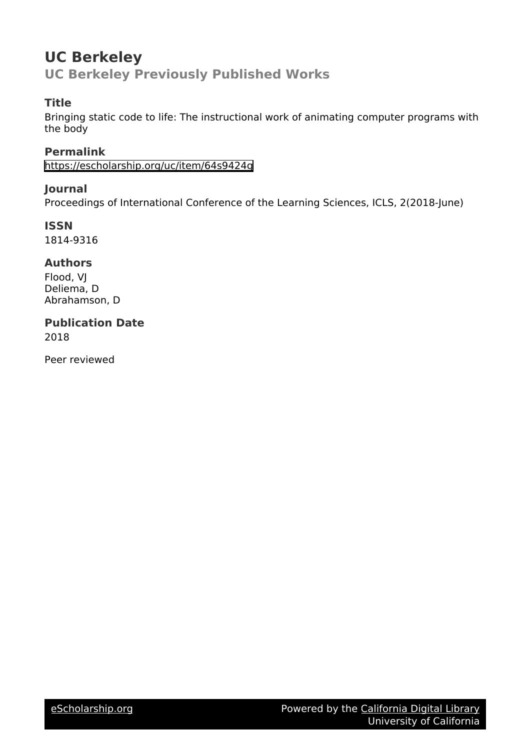# **UC Berkeley**

**UC Berkeley Previously Published Works**

## **Title**

Bringing static code to life: The instructional work of animating computer programs with the body

## **Permalink**

<https://escholarship.org/uc/item/64s9424g>

## **Journal**

Proceedings of International Conference of the Learning Sciences, ICLS, 2(2018-June)

**ISSN** 1814-9316

## **Authors**

Flood, VJ Deliema, D Abrahamson, D

## **Publication Date**

2018

Peer reviewed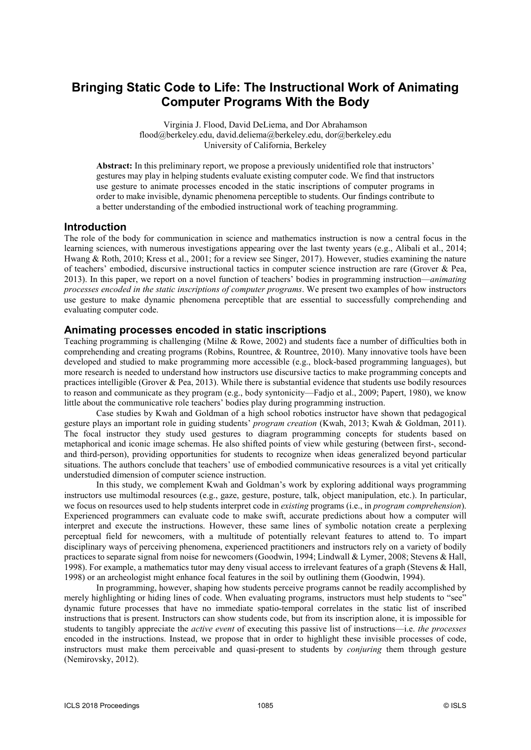### **Bringing Static Code to Life: The Instructional Work of Animating Computer Programs With the Body**

Virginia J. Flood, David DeLiema, and Dor Abrahamson flood@berkeley.edu, david.deliema@berkeley.edu, dor@berkeley.edu University of California, Berkeley

**Abstract:** In this preliminary report, we propose a previously unidentified role that instructors' gestures may play in helping students evaluate existing computer code. We find that instructors use gesture to animate processes encoded in the static inscriptions of computer programs in order to make invisible, dynamic phenomena perceptible to students. Our findings contribute to a better understanding of the embodied instructional work of teaching programming.

#### **Introduction**

The role of the body for communication in science and mathematics instruction is now a central focus in the learning sciences, with numerous investigations appearing over the last twenty years (e.g., Alibali et al., 2014; Hwang & Roth, 2010; Kress et al., 2001; for a review see Singer, 2017). However, studies examining the nature of teachers' embodied, discursive instructional tactics in computer science instruction are rare (Grover & Pea, 2013). In this paper, we report on a novel function of teachers' bodies in programming instruction—*animating processes encoded in the static inscriptions of computer programs*. We present two examples of how instructors use gesture to make dynamic phenomena perceptible that are essential to successfully comprehending and evaluating computer code.

#### **Animating processes encoded in static inscriptions**

Teaching programming is challenging (Milne & Rowe, 2002) and students face a number of difficulties both in comprehending and creating programs (Robins, Rountree, & Rountree, 2010). Many innovative tools have been developed and studied to make programming more accessible (e.g., block-based programming languages), but more research is needed to understand how instructors use discursive tactics to make programming concepts and practices intelligible (Grover & Pea, 2013). While there is substantial evidence that students use bodily resources to reason and communicate as they program (e.g., body syntonicity—Fadjo et al., 2009; Papert, 1980), we know little about the communicative role teachers' bodies play during programming instruction.

Case studies by Kwah and Goldman of a high school robotics instructor have shown that pedagogical gesture plays an important role in guiding students' *program creation* (Kwah, 2013; Kwah & Goldman, 2011). The focal instructor they study used gestures to diagram programming concepts for students based on metaphorical and iconic image schemas. He also shifted points of view while gesturing (between first-, secondand third-person), providing opportunities for students to recognize when ideas generalized beyond particular situations. The authors conclude that teachers' use of embodied communicative resources is a vital yet critically understudied dimension of computer science instruction.

In this study, we complement Kwah and Goldman's work by exploring additional ways programming instructors use multimodal resources (e.g., gaze, gesture, posture, talk, object manipulation, etc.). In particular, we focus on resources used to help students interpret code in *existing* programs (i.e., in *program comprehension*). Experienced programmers can evaluate code to make swift, accurate predictions about how a computer will interpret and execute the instructions. However, these same lines of symbolic notation create a perplexing perceptual field for newcomers, with a multitude of potentially relevant features to attend to. To impart disciplinary ways of perceiving phenomena, experienced practitioners and instructors rely on a variety of bodily practices to separate signal from noise for newcomers (Goodwin, 1994; Lindwall & Lymer, 2008; Stevens & Hall, 1998). For example, a mathematics tutor may deny visual access to irrelevant features of a graph (Stevens & Hall, 1998) or an archeologist might enhance focal features in the soil by outlining them (Goodwin, 1994).

In programming, however, shaping how students perceive programs cannot be readily accomplished by merely highlighting or hiding lines of code. When evaluating programs, instructors must help students to "see" dynamic future processes that have no immediate spatio-temporal correlates in the static list of inscribed instructions that is present. Instructors can show students code, but from its inscription alone, it is impossible for students to tangibly appreciate the *active event* of executing this passive list of instructions—i.e. *the processes* encoded in the instructions. Instead, we propose that in order to highlight these invisible processes of code, instructors must make them perceivable and quasi-present to students by *conjuring* them through gesture (Nemirovsky, 2012).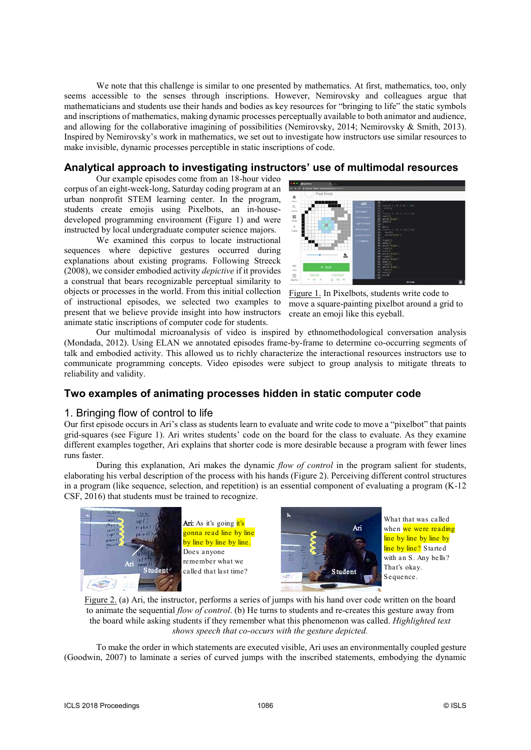We note that this challenge is similar to one presented by mathematics. At first, mathematics, too, only seems accessible to the senses through inscriptions. However, Nemirovsky and colleagues argue that mathematicians and students use their hands and bodies as key resources for "bringing to life" the static symbols and inscriptions of mathematics, making dynamic processes perceptually available to both animator and audience, and allowing for the collaborative imagining of possibilities (Nemirovsky, 2014; Nemirovsky & Smith, 2013). Inspired by Nemirovsky's work in mathematics, we set out to investigate how instructors use similar resources to make invisible, dynamic processes perceptible in static inscriptions of code.

#### **Analytical approach to investigating instructors' use of multimodal resources**

Our example episodes come from an 18-hour video corpus of an eight-week-long, Saturday coding program at an urban nonprofit STEM learning center. In the program, students create emojis using Pixelbots, an in-housedeveloped programming environment (Figure 1) and were instructed by local undergraduate computer science majors.

We examined this corpus to locate instructional sequences where depictive gestures occurred during explanations about existing programs. Following Streeck (2008), we consider embodied activity *depictive* if it provides a construal that bears recognizable perceptual similarity to objects or processes in the world. From this initial collection of instructional episodes, we selected two examples to present that we believe provide insight into how instructors animate static inscriptions of computer code for students.



Figure 1. In Pixelbots, students write code to move a square-painting pixelbot around a grid to create an emoji like this eyeball.

Our multimodal microanalysis of video is inspired by ethnomethodological conversation analysis (Mondada, 2012). Using ELAN we annotated episodes frame-by-frame to determine co-occurring segments of talk and embodied activity. This allowed us to richly characterize the interactional resources instructors use to communicate programming concepts. Video episodes were subject to group analysis to mitigate threats to reliability and validity.

#### **Two examples of animating processes hidden in static computer code**

#### 1. Bringing flow of control to life

Our first episode occurs in Ari's class as students learn to evaluate and write code to move a "pixelbot" that paints grid-squares (see Figure 1). Ari writes students' code on the board for the class to evaluate. As they examine different examples together, Ari explains that shorter code is more desirable because a program with fewer lines runs faster.

During this explanation, Ari makes the dynamic *flow of control* in the program salient for students, elaborating his verbal description of the process with his hands (Figure 2). Perceiving different control structures in a program (like sequence, selection, and repetition) is an essential component of evaluating a program (K-12 CSF, 2016) that students must be trained to recognize.



Ari: As it's going <mark>it's</mark> gonna read line by line by line by line by line. Does anyone remember what we called that last time?



What that was called when we were reading line by line by line by line by line? Started with an S. Any bells? That's okay. Sequence.

Figure 2. (a) Ari, the instructor, performs a series of jumps with his hand over code written on the board to animate the sequential *flow of control*. (b) He turns to students and re-creates this gesture away from the board while asking students if they remember what this phenomenon was called. *Highlighted text shows speech that co-occurs with the gesture depicted.*

To make the order in which statements are executed visible, Ari uses an environmentally coupled gesture (Goodwin, 2007) to laminate a series of curved jumps with the inscribed statements, embodying the dynamic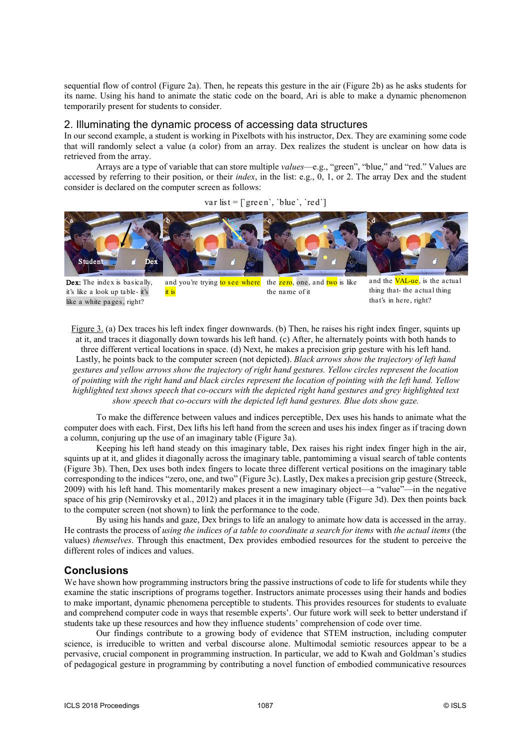sequential flow of control (Figure 2a). Then, he repeats this gesture in the air (Figure 2b) as he asks students for its name. Using his hand to animate the static code on the board, Ari is able to make a dynamic phenomenon temporarily present for students to consider.

#### 2. Illuminating the dynamic process of accessing data structures

In our second example, a student is working in Pixelbots with his instructor, Dex. They are examining some code that will randomly select a value (a color) from an array. Dex realizes the student is unclear on how data is retrieved from the array.

Arrays are a type of variable that can store multiple *values*—e.g., "green", "blue," and "red." Values are accessed by referring to their position, or their *index*, in the list: e.g., 0, 1, or 2. The array Dex and the student consider is declared on the computer screen as follows:

var list =  $\lceil \text{green}' \rceil$ , 'blue', 'red']



Dex: The index is basically. it's like a look up table- it's like a white pages, right?

- and you're trying to see where the zero, one, and two is like it is the name of it
- and the **VAL-ue**, is the actual thing that- the actual thing that's in here, right?

Figure 3. (a) Dex traces his left index finger downwards. (b) Then, he raises his right index finger, squints up at it, and traces it diagonally down towards his left hand. (c) After, he alternately points with both hands to three different vertical locations in space. (d) Next, he makes a precision grip gesture with his left hand. Lastly, he points back to the computer screen (not depicted). *Black arrows show the trajectory of left hand gestures and yellow arrows show the trajectory of right hand gestures. Yellow circles represent the location of pointing with the right hand and black circles represent the location of pointing with the left hand. Yellow highlighted text shows speech that co-occurs with the depicted right hand gestures and grey highlighted text show speech that co-occurs with the depicted left hand gestures. Blue dots show gaze.*

To make the difference between values and indices perceptible, Dex uses his hands to animate what the computer does with each. First, Dex lifts his left hand from the screen and uses his index finger as if tracing down a column, conjuring up the use of an imaginary table (Figure 3a).

Keeping his left hand steady on this imaginary table, Dex raises his right index finger high in the air, squints up at it, and glides it diagonally across the imaginary table, pantomiming a visual search of table contents (Figure 3b). Then, Dex uses both index fingers to locate three different vertical positions on the imaginary table corresponding to the indices "zero, one, and two" (Figure 3c). Lastly, Dex makes a precision grip gesture (Streeck, 2009) with his left hand. This momentarily makes present a new imaginary object—a "value"—in the negative space of his grip (Nemirovsky et al., 2012) and places it in the imaginary table (Figure 3d). Dex then points back to the computer screen (not shown) to link the performance to the code.

By using his hands and gaze, Dex brings to life an analogy to animate how data is accessed in the array. He contrasts the process of *using the indices of a table to coordinate a search for items* with *the actual items* (the values) *themselves*. Through this enactment, Dex provides embodied resources for the student to perceive the different roles of indices and values.

#### **Conclusions**

We have shown how programming instructors bring the passive instructions of code to life for students while they examine the static inscriptions of programs together. Instructors animate processes using their hands and bodies to make important, dynamic phenomena perceptible to students. This provides resources for students to evaluate and comprehend computer code in ways that resemble experts'. Our future work will seek to better understand if students take up these resources and how they influence students' comprehension of code over time.

Our findings contribute to a growing body of evidence that STEM instruction, including computer science, is irreducible to written and verbal discourse alone. Multimodal semiotic resources appear to be a pervasive, crucial component in programming instruction. In particular, we add to Kwah and Goldman's studies of pedagogical gesture in programming by contributing a novel function of embodied communicative resources